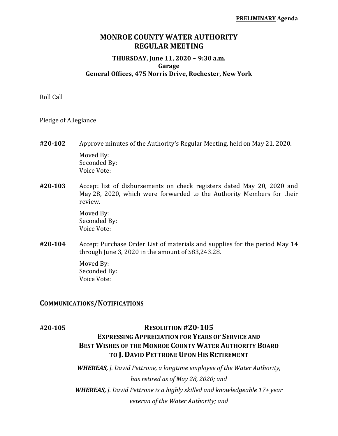## **MONROE COUNTY WATER AUTHORITY REGULAR MEETING**

#### **THURSDAY, June 11, 2020 ~ 9:30 a.m. Garage General Offices, 475 Norris Drive, Rochester, New York**

Roll Call

Pledge of Allegiance

- **#20‐102** Approve minutes of the Authority's Regular Meeting, held on May 21, 2020. Moved By: Seconded By: Voice Vote:
- **#20‐103** Accept list of disbursements on check registers dated May 20, 2020 and May 28, 2020, which were forwarded to the Authority Members for their review.

 Moved By: Seconded By: Voice Vote:

**#20‐104** Accept Purchase Order List of materials and supplies for the period May 14 through June 3, 2020 in the amount of \$83,243.28.

> Moved By: Seconded By: Voice Vote:

### **COMMUNICATIONS/NOTIFICATIONS**

## **#20‐105 RESOLUTION #20‐105**

# **EXPRESSING APPRECIATION FOR YEARS OF SERVICE AND BEST WISHES OF THE MONROE COUNTY WATER AUTHORITY BOARD TO J. DAVID PETTRONE UPON HIS RETIREMENT**

*WHEREAS, J. David Pettrone, a longtime employee of the Water Authority, has retired as of May 28, 2020; and WHEREAS, J. David Pettrone is a highly skilled and knowledgeable 17+ year veteran of the Water Authority; and*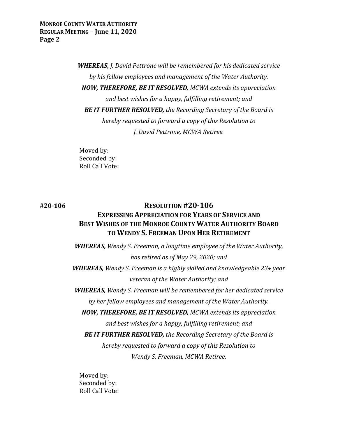**MONROE COUNTY WATER AUTHORITY REGULAR MEETING – June 11, 2020 Page 2**

> *WHEREAS, J. David Pettrone will be remembered for his dedicated service by his fellow employees and management of the Water Authority. NOW, THEREFORE, BE IT RESOLVED, MCWA extends its appreciation and best wishes for a happy, fulfilling retirement; and BE IT FURTHER RESOLVED, the Recording Secretary of the Board is hereby requested to forward a copy of this Resolution to J. David Pettrone, MCWA Retiree.*

Moved by: Seconded by: Roll Call Vote:

# **#20‐106 RESOLUTION #20‐106 EXPRESSING APPRECIATION FOR YEARS OF SERVICE AND BEST WISHES OF THE MONROE COUNTY WATER AUTHORITY BOARD TO WENDY S. FREEMAN UPON HER RETIREMENT**

*WHEREAS, Wendy S. Freeman, a longtime employee of the Water Authority, has retired as of May 29, 2020; and WHEREAS, Wendy S. Freeman is a highly skilled and knowledgeable 23+ year veteran of the Water Authority; and WHEREAS, Wendy S. Freeman will be remembered for her dedicated service by her fellow employees and management of the Water Authority. NOW, THEREFORE, BE IT RESOLVED, MCWA extends its appreciation and best wishes for a happy, fulfilling retirement; and BE IT FURTHER RESOLVED, the Recording Secretary of the Board is hereby requested to forward a copy of this Resolution to Wendy S. Freeman, MCWA Retiree.*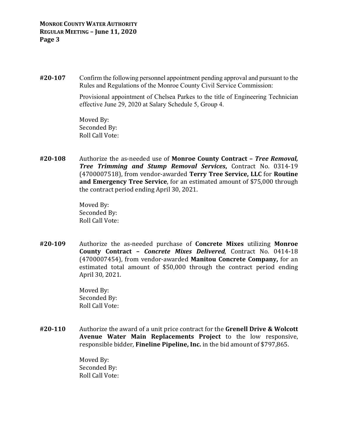**#20‐107** Confirm the following personnel appointment pending approval and pursuant to the Rules and Regulations of the Monroe County Civil Service Commission:

> Provisional appointment of Chelsea Parkes to the title of Engineering Technician effective June 29, 2020 at Salary Schedule 5, Group 4.

 Moved By: Seconded By: Roll Call Vote:

**#20‐108** Authorize the as-needed use of **Monroe County Contract –** *Tree Removal, Tree Trimming and Stump Removal Services***,** Contract No. 0314-19 (4700007518), from vendor-awarded **Terry Tree Service, LLC** for **Routine and Emergency Tree Service**, for an estimated amount of \$75,000 through the contract period ending April 30, 2021.

> Moved By: Seconded By: Roll Call Vote:

**#20‐109** Authorize the as-needed purchase of **Concrete Mixes** utilizing **Monroe County Contract –** *Concrete Mixes Delivered*, Contract No. 0414-18 (4700007454), from vendor-awarded **Manitou Concrete Company,** for an estimated total amount of \$50,000 through the contract period ending April 30, 2021.

> Moved By: Seconded By: Roll Call Vote:

**#20‐110** Authorize the award of a unit price contract for the **Grenell Drive & Wolcott Avenue Water Main Replacements Project** to the low responsive, responsible bidder, **Fineline Pipeline, Inc.** in the bid amount of \$797,865.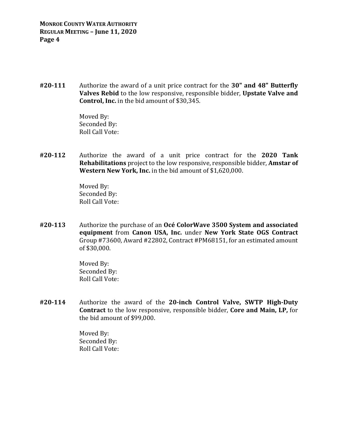**#20‐111** Authorize the award of a unit price contract for the **30" and 48" Butterfly Valves Rebid** to the low responsive, responsible bidder, **Upstate Valve and Control, Inc.** in the bid amount of \$30,345.

> Moved By: Seconded By: Roll Call Vote:

**#20‐112** Authorize the award of a unit price contract for the **2020 Tank Rehabilitations** project to the low responsive, responsible bidder, **Amstar of Western New York, Inc.** in the bid amount of \$1,620,000.

> Moved By: Seconded By: Roll Call Vote:

**#20‐113** Authorize the purchase of an **Océ ColorWave 3500 System and associated equipment** from **Canon USA, Inc.** under **New York State OGS Contract** Group #73600, Award #22802, Contract #PM68151, for an estimated amount of \$30,000.

> Moved By: Seconded By: Roll Call Vote:

**#20‐114** Authorize the award of the **20‐inch Control Valve, SWTP High‐Duty Contract** to the low responsive, responsible bidder, **Core and Main, LP,** for the bid amount of \$99,000.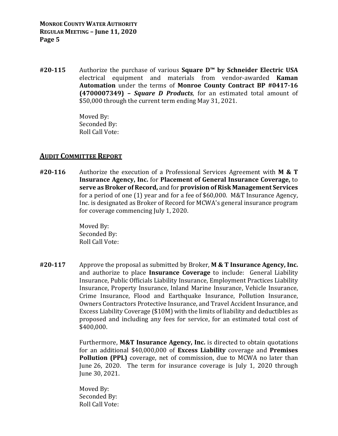**#20‐115** Authorize the purchase of various **Square D™ by Schneider Electric USA** electrical equipment and materials from vendor-awarded **Kaman Automation** under the terms of **Monroe County Contract BP #0417‐16 (4700007349) –** *Square D Products*, for an estimated total amount of \$50,000 through the current term ending May 31, 2021.

> Moved By: Seconded By: Roll Call Vote:

### **AUDIT COMMITTEE REPORT**

**#20‐116** Authorize the execution of a Professional Services Agreement with **M & T Insurance Agency, Inc.** for **Placement of General Insurance Coverage,** to **serve as Broker of Record,** and for **provision of Risk Management Services** for a period of one (1) year and for a fee of \$60,000. M&T Insurance Agency, Inc. is designated as Broker of Record for MCWA's general insurance program for coverage commencing July 1, 2020.

> Moved By: Seconded By: Roll Call Vote:

**#20‐117** Approve the proposal as submitted by Broker, **M & T Insurance Agency, Inc.** and authorize to place **Insurance Coverage** to include: General Liability Insurance, Public Officials Liability Insurance, Employment Practices Liability Insurance, Property Insurance, Inland Marine Insurance, Vehicle Insurance, Crime Insurance, Flood and Earthquake Insurance, Pollution Insurance, Owners Contractors Protective Insurance, and Travel Accident Insurance, and Excess Liability Coverage (\$10M) with the limits of liability and deductibles as proposed and including any fees for service, for an estimated total cost of \$400,000.

> Furthermore, **M&T Insurance Agency, Inc.** is directed to obtain quotations for an additional \$40,000,000 of **Excess Liability** coverage and **Premises Pollution (PPL)** coverage, net of commission, due to MCWA no later than June 26, 2020. The term for insurance coverage is July 1, 2020 through June 30, 2021.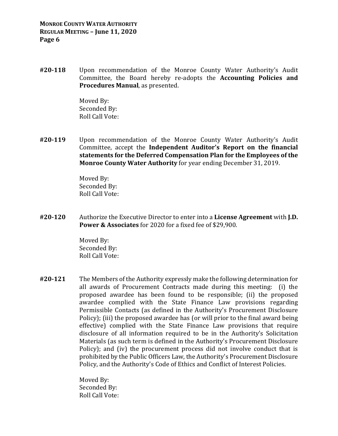**#20‐118** Upon recommendation of the Monroe County Water Authority's Audit Committee, the Board hereby re-adopts the **Accounting Policies and Procedures Manual**, as presented.

> Moved By: Seconded By: Roll Call Vote:

**#20‐119** Upon recommendation of the Monroe County Water Authority's Audit Committee, accept the **Independent Auditor's Report on the financial statements for the Deferred Compensation Plan for the Employees of the Monroe County Water Authority** for year ending December 31, 2019.

> Moved By: Seconded By: Roll Call Vote:

**#20‐120** Authorize the Executive Director to enter into a **License Agreement** with **J.D. Power & Associates** for 2020 for a fixed fee of \$29,900.

> Moved By: Seconded By: Roll Call Vote:

**#20‐121** The Members of the Authority expressly make the following determination for all awards of Procurement Contracts made during this meeting: (i) the proposed awardee has been found to be responsible; (ii) the proposed awardee complied with the State Finance Law provisions regarding Permissible Contacts (as defined in the Authority's Procurement Disclosure Policy); (iii) the proposed awardee has (or will prior to the final award being effective) complied with the State Finance Law provisions that require disclosure of all information required to be in the Authority's Solicitation Materials (as such term is defined in the Authority's Procurement Disclosure Policy); and (iv) the procurement process did not involve conduct that is prohibited by the Public Officers Law, the Authority's Procurement Disclosure Policy, and the Authority's Code of Ethics and Conflict of Interest Policies.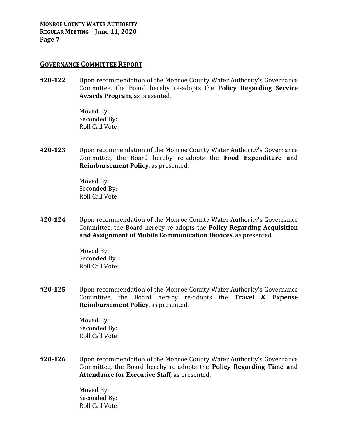**MONROE COUNTY WATER AUTHORITY REGULAR MEETING – June 11, 2020 Page 7**

#### **GOVERNANCE COMMITTEE REPORT**

**#20‐122** Upon recommendation of the Monroe County Water Authority's Governance Committee, the Board hereby re-adopts the **Policy Regarding Service Awards Program**, as presented.

> Moved By: Seconded By: Roll Call Vote:

**#20‐123** Upon recommendation of the Monroe County Water Authority's Governance Committee, the Board hereby re-adopts the **Food Expenditure and Reimbursement Policy**, as presented.

> Moved By: Seconded By: Roll Call Vote:

**#20‐124** Upon recommendation of the Monroe County Water Authority's Governance Committee, the Board hereby re-adopts the **Policy Regarding Acquisition and Assignment of Mobile Communication Devices**, as presented.

> Moved By: Seconded By: Roll Call Vote:

**#20‐125** Upon recommendation of the Monroe County Water Authority's Governance Committee, the Board hereby re-adopts the **Travel & Expense Reimbursement Policy**, as presented.

> Moved By: Seconded By: Roll Call Vote:

**#20‐126** Upon recommendation of the Monroe County Water Authority's Governance Committee, the Board hereby re-adopts the **Policy Regarding Time and Attendance for Executive Staff**, as presented.